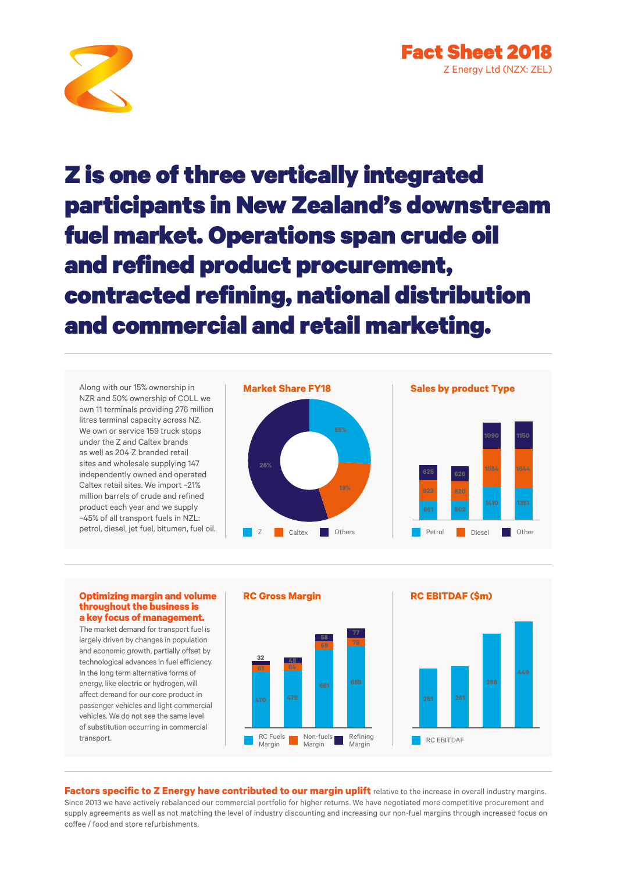

Z is one of three vertically integrated participants in New Zealand's downstream fuel market. Operations span crude oil and refined product procurement, contracted refining, national distribution and commercial and retail marketing.

Along with our 15% ownership in NZR and 50% ownership of COLL we own 11 terminals providing 276 million litres terminal capacity across NZ. We own or service 159 truck stops under the Z and Caltex brands as well as 204 Z branded retail sites and wholesale supplying 147 independently owned and operated Caltex retail sites. We import ~21% million barrels of crude and refined product each year and we supply ~45% of all transport fuels in NZL:





### **Optimizing margin and volume throughout the business is a key focus of management.**

The market demand for transport fuel is largely driven by changes in population and economic growth, partially offset by technological advances in fuel efficiency. In the long term alternative forms of energy, like electric or hydrogen, will affect demand for our core product in passenger vehicles and light commercial vehicles. We do not see the same level of substitution occurring in commercial transport.



**Factors specific to Z Energy have contributed to our margin uplift** relative to the increase in overall industry margins. Since 2013 we have actively rebalanced our commercial portfolio for higher returns. We have negotiated more competitive procurement and supply agreements as well as not matching the level of industry discounting and increasing our non-fuel margins through increased focus on coffee / food and store refurbishments.